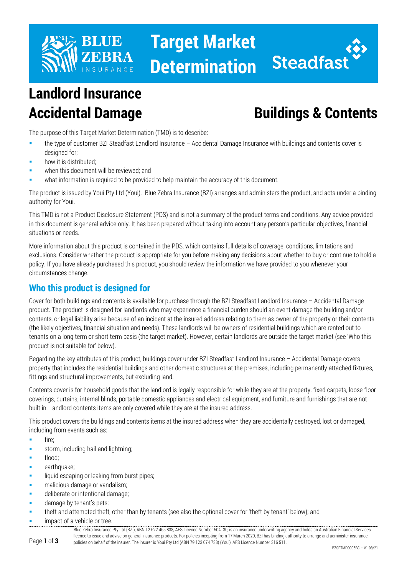

## **Target Market Determination**



# **Landlord Insurance**

### **Accidental Damage Buildings & Contents**

The purpose of this Target Market Determination (TMD) is to describe:

- the type of customer BZI Steadfast Landlord Insurance Accidental Damage Insurance with buildings and contents cover is designed for;
- how it is distributed;
- when this document will be reviewed; and
- what information is required to be provided to help maintain the accuracy of this document.

The product is issued by Youi Pty Ltd (Youi). Blue Zebra Insurance (BZI) arranges and administers the product, and acts under a binding authority for Youi.

This TMD is not a Product Disclosure Statement (PDS) and is not a summary of the product terms and conditions. Any advice provided in this document is general advice only. It has been prepared without taking into account any person's particular objectives, financial situations or needs.

More information about this product is contained in the PDS, which contains full details of coverage, conditions, limitations and exclusions. Consider whether the product is appropriate for you before making any decisions about whether to buy or continue to hold a policy. If you have already purchased this product, you should review the information we have provided to you whenever your circumstances change.

#### **Who this product is designed for**

Cover for both buildings and contents is available for purchase through the BZI Steadfast Landlord Insurance – Accidental Damage product. The product is designed for landlords who may experience a financial burden should an event damage the building and/or contents, or legal liability arise because of an incident at the insured address relating to them as owner of the property or their contents (the likely objectives, financial situation and needs). These landlords will be owners of residential buildings which are rented out to tenants on a long term or short term basis (the target market). However, certain landlords are outside the target market (see 'Who this product is not suitable for' below).

Regarding the key attributes of this product, buildings cover under BZI Steadfast Landlord Insurance – Accidental Damage covers property that includes the residential buildings and other domestic structures at the premises, including permanently attached fixtures, fittings and structural improvements, but excluding land.

Contents cover is for household goods that the landlord is legally responsible for while they are at the property, fixed carpets, loose floor coverings, curtains, internal blinds, portable domestic appliances and electrical equipment, and furniture and furnishings that are not built in. Landlord contents items are only covered while they are at the insured address.

This product covers the buildings and contents items at the insured address when they are accidentally destroyed, lost or damaged, including from events such as:

- $fire$ :
- storm, including hail and lightning;
- flood;
- earthquake:
- liquid escaping or leaking from burst pipes;
- malicious damage or vandalism;
- **deliberate or intentional damage;**
- damage by tenant's pets;
- theft and attempted theft, other than by tenants (see also the optional cover for 'theft by tenant' below); and
- impact of a vehicle or tree.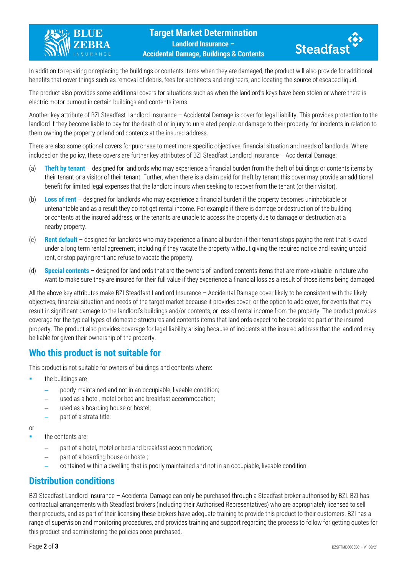



In addition to repairing or replacing the buildings or contents items when they are damaged, the product will also provide for additional benefits that cover things such as removal of debris, fees for architects and engineers, and locating the source of escaped liquid.

The product also provides some additional covers for situations such as when the landlord's keys have been stolen or where there is electric motor burnout in certain buildings and contents items.

Another key attribute of BZI Steadfast Landlord Insurance – Accidental Damage is cover for legal liability. This provides protection to the landlord if they become liable to pay for the death of or injury to unrelated people, or damage to their property, for incidents in relation to them owning the property or landlord contents at the insured address.

There are also some optional covers for purchase to meet more specific objectives, financial situation and needs of landlords. Where included on the policy, these covers are further key attributes of BZI Steadfast Landlord Insurance – Accidental Damage:

- (a) **Theft by tenant** designed for landlords who may experience a financial burden from the theft of buildings or contents items by their tenant or a visitor of their tenant. Further, when there is a claim paid for theft by tenant this cover may provide an additional benefit for limited legal expenses that the landlord incurs when seeking to recover from the tenant (or their visitor).
- (b) **Loss of rent** designed for landlords who may experience a financial burden if the property becomes uninhabitable or untenantable and as a result they do not get rental income. For example if there is damage or destruction of the building or contents at the insured address, or the tenants are unable to access the property due to damage or destruction at a nearby property.
- (c) **Rent default** designed for landlords who may experience a financial burden if their tenant stops paying the rent that is owed under a long term rental agreement, including if they vacate the property without giving the required notice and leaving unpaid rent, or stop paying rent and refuse to vacate the property.
- (d) **Special contents** designed for landlords that are the owners of landlord contents items that are more valuable in nature who want to make sure they are insured for their full value if they experience a financial loss as a result of those items being damaged.

All the above key attributes make BZI Steadfast Landlord Insurance – Accidental Damage cover likely to be consistent with the likely objectives, financial situation and needs of the target market because it provides cover, or the option to add cover, for events that may result in significant damage to the landlord's buildings and/or contents, or loss of rental income from the property. The product provides coverage for the typical types of domestic structures and contents items that landlords expect to be considered part of the insured property. The product also provides coverage for legal liability arising because of incidents at the insured address that the landlord may be liable for given their ownership of the property.

#### **Who this product is not suitable for**

This product is not suitable for owners of buildings and contents where:

- the buildings are
	- − poorly maintained and not in an occupiable, liveable condition;
	- used as a hotel, motel or bed and breakfast accommodation;
	- used as a boarding house or hostel;
	- part of a strata title;

or

the contents are:

- part of a hotel, motel or bed and breakfast accommodation;
- part of a boarding house or hostel;
- − contained within a dwelling that is poorly maintained and not in an occupiable, liveable condition.

#### **Distribution conditions**

BZI Steadfast Landlord Insurance – Accidental Damage can only be purchased through a Steadfast broker authorised by BZI. BZI has contractual arrangements with Steadfast brokers (including their Authorised Representatives) who are appropriately licensed to sell their products, and as part of their licensing these brokers have adequate training to provide this product to their customers. BZI has a range of supervision and monitoring procedures, and provides training and support regarding the process to follow for getting quotes for this product and administering the policies once purchased.